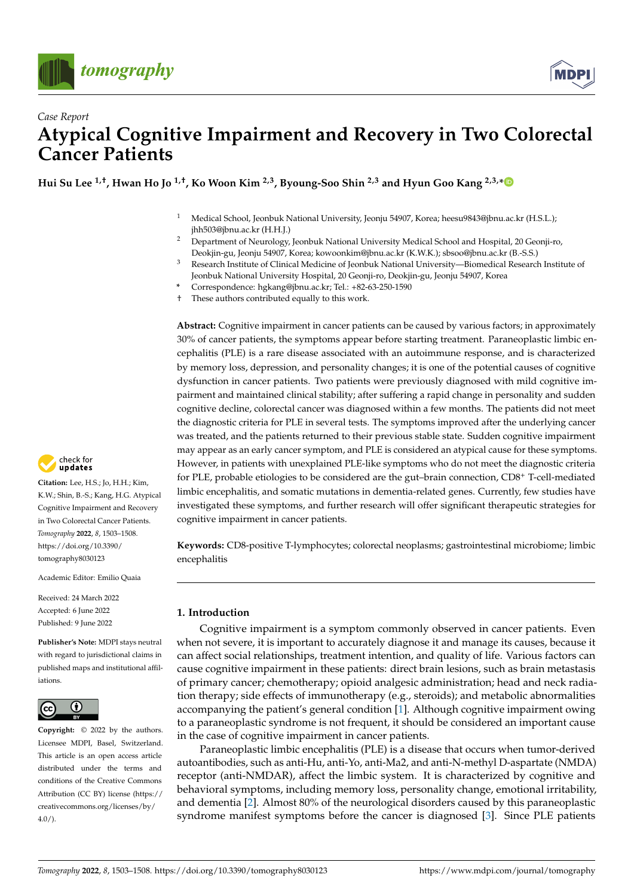



# *Case Report* **Atypical Cognitive Impairment and Recovery in Two Colorectal Cancer Patients**

**Hui Su Lee 1,†, Hwan Ho Jo 1,†, Ko Woon Kim 2,3, Byoung-Soo Shin 2,3 and Hyun Goo Kang 2,3,[\\*](https://orcid.org/0000-0001-5443-3635)**

- <sup>1</sup> Medical School, Jeonbuk National University, Jeonju 54907, Korea; heesu9843@jbnu.ac.kr (H.S.L.); jhh503@jbnu.ac.kr (H.H.J.)
- <sup>2</sup> Department of Neurology, Jeonbuk National University Medical School and Hospital, 20 Geonji-ro, Deokjin-gu, Jeonju 54907, Korea; kowoonkim@jbnu.ac.kr (K.W.K.); sbsoo@jbnu.ac.kr (B.-S.S.)
- <sup>3</sup> Research Institute of Clinical Medicine of Jeonbuk National University—Biomedical Research Institute of Jeonbuk National University Hospital, 20 Geonji-ro, Deokjin-gu, Jeonju 54907, Korea
- **\*** Correspondence: hgkang@jbnu.ac.kr; Tel.: +82-63-250-1590
- † These authors contributed equally to this work.

**Abstract:** Cognitive impairment in cancer patients can be caused by various factors; in approximately 30% of cancer patients, the symptoms appear before starting treatment. Paraneoplastic limbic encephalitis (PLE) is a rare disease associated with an autoimmune response, and is characterized by memory loss, depression, and personality changes; it is one of the potential causes of cognitive dysfunction in cancer patients. Two patients were previously diagnosed with mild cognitive impairment and maintained clinical stability; after suffering a rapid change in personality and sudden cognitive decline, colorectal cancer was diagnosed within a few months. The patients did not meet the diagnostic criteria for PLE in several tests. The symptoms improved after the underlying cancer was treated, and the patients returned to their previous stable state. Sudden cognitive impairment may appear as an early cancer symptom, and PLE is considered an atypical cause for these symptoms. However, in patients with unexplained PLE-like symptoms who do not meet the diagnostic criteria for PLE, probable etiologies to be considered are the gut–brain connection, CD8<sup>+</sup> T-cell-mediated limbic encephalitis, and somatic mutations in dementia-related genes. Currently, few studies have investigated these symptoms, and further research will offer significant therapeutic strategies for cognitive impairment in cancer patients.

**Keywords:** CD8-positive T-lymphocytes; colorectal neoplasms; gastrointestinal microbiome; limbic encephalitis

### **1. Introduction**

Cognitive impairment is a symptom commonly observed in cancer patients. Even when not severe, it is important to accurately diagnose it and manage its causes, because it can affect social relationships, treatment intention, and quality of life. Various factors can cause cognitive impairment in these patients: direct brain lesions, such as brain metastasis of primary cancer; chemotherapy; opioid analgesic administration; head and neck radiation therapy; side effects of immunotherapy (e.g., steroids); and metabolic abnormalities accompanying the patient's general condition [\[1\]](#page-5-0). Although cognitive impairment owing to a paraneoplastic syndrome is not frequent, it should be considered an important cause in the case of cognitive impairment in cancer patients.

Paraneoplastic limbic encephalitis (PLE) is a disease that occurs when tumor-derived autoantibodies, such as anti-Hu, anti-Yo, anti-Ma2, and anti-N-methyl D-aspartate (NMDA) receptor (anti-NMDAR), affect the limbic system. It is characterized by cognitive and behavioral symptoms, including memory loss, personality change, emotional irritability, and dementia [\[2\]](#page-5-1). Almost 80% of the neurological disorders caused by this paraneoplastic syndrome manifest symptoms before the cancer is diagnosed [\[3\]](#page-5-2). Since PLE patients



**Citation:** Lee, H.S.; Jo, H.H.; Kim, K.W.; Shin, B.-S.; Kang, H.G. Atypical Cognitive Impairment and Recovery in Two Colorectal Cancer Patients. *Tomography* **2022**, *8*, 1503–1508. [https://doi.org/10.3390/](https://doi.org/10.3390/tomography8030123) [tomography8030123](https://doi.org/10.3390/tomography8030123)

Academic Editor: Emilio Quaia

Received: 24 March 2022 Accepted: 6 June 2022 Published: 9 June 2022

**Publisher's Note:** MDPI stays neutral with regard to jurisdictional claims in published maps and institutional affiliations.



**Copyright:** © 2022 by the authors. Licensee MDPI, Basel, Switzerland. This article is an open access article distributed under the terms and conditions of the Creative Commons Attribution (CC BY) license [\(https://](https://creativecommons.org/licenses/by/4.0/) [creativecommons.org/licenses/by/](https://creativecommons.org/licenses/by/4.0/)  $4.0/$ ).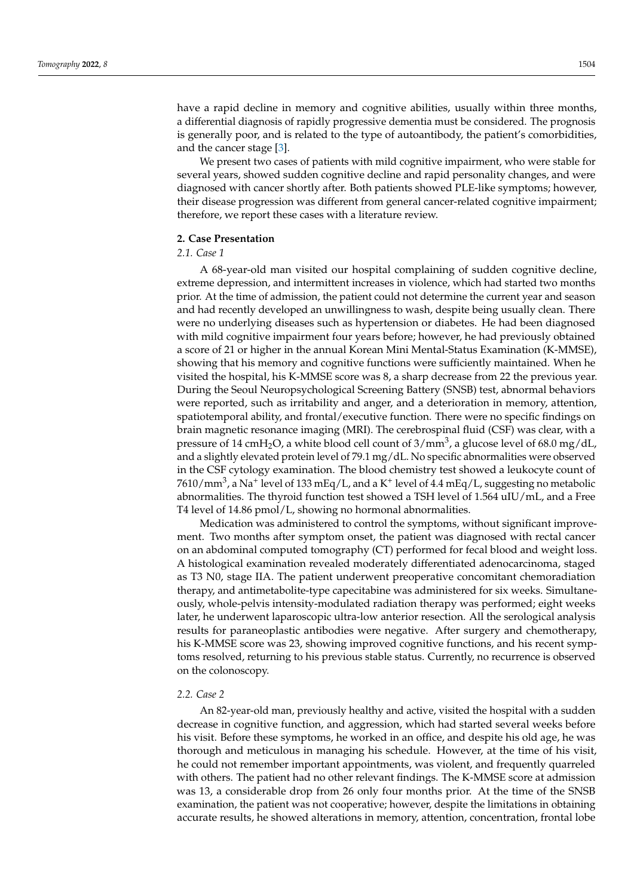have a rapid decline in memory and cognitive abilities, usually within three months, a differential diagnosis of rapidly progressive dementia must be considered. The prognosis is generally poor, and is related to the type of autoantibody, the patient's comorbidities, and the cancer stage [\[3\]](#page-5-2).

We present two cases of patients with mild cognitive impairment, who were stable for several years, showed sudden cognitive decline and rapid personality changes, and were diagnosed with cancer shortly after. Both patients showed PLE-like symptoms; however, their disease progression was different from general cancer-related cognitive impairment; therefore, we report these cases with a literature review.

### **2. Case Presentation**

## *2.1. Case 1*

A 68-year-old man visited our hospital complaining of sudden cognitive decline, extreme depression, and intermittent increases in violence, which had started two months prior. At the time of admission, the patient could not determine the current year and season and had recently developed an unwillingness to wash, despite being usually clean. There were no underlying diseases such as hypertension or diabetes. He had been diagnosed with mild cognitive impairment four years before; however, he had previously obtained a score of 21 or higher in the annual Korean Mini Mental-Status Examination (K-MMSE), showing that his memory and cognitive functions were sufficiently maintained. When he visited the hospital, his K-MMSE score was 8, a sharp decrease from 22 the previous year. During the Seoul Neuropsychological Screening Battery (SNSB) test, abnormal behaviors were reported, such as irritability and anger, and a deterioration in memory, attention, spatiotemporal ability, and frontal/executive function. There were no specific findings on brain magnetic resonance imaging (MRI). The cerebrospinal fluid (CSF) was clear, with a pressure of 14 cmH<sub>2</sub>O, a white blood cell count of 3/mm<sup>3</sup>, a glucose level of 68.0 mg/dL, and a slightly elevated protein level of 79.1 mg/dL. No specific abnormalities were observed in the CSF cytology examination. The blood chemistry test showed a leukocyte count of 7610/mm<sup>3</sup>, a Na<sup>+</sup> level of 133 mEq/L, and a K<sup>+</sup> level of 4.4 mEq/L, suggesting no metabolic abnormalities. The thyroid function test showed a TSH level of 1.564 uIU/mL, and a Free T4 level of 14.86 pmol/L, showing no hormonal abnormalities.

Medication was administered to control the symptoms, without significant improvement. Two months after symptom onset, the patient was diagnosed with rectal cancer on an abdominal computed tomography (CT) performed for fecal blood and weight loss. A histological examination revealed moderately differentiated adenocarcinoma, staged as T3 N0, stage IIA. The patient underwent preoperative concomitant chemoradiation therapy, and antimetabolite-type capecitabine was administered for six weeks. Simultaneously, whole-pelvis intensity-modulated radiation therapy was performed; eight weeks later, he underwent laparoscopic ultra-low anterior resection. All the serological analysis results for paraneoplastic antibodies were negative. After surgery and chemotherapy, his K-MMSE score was 23, showing improved cognitive functions, and his recent symptoms resolved, returning to his previous stable status. Currently, no recurrence is observed on the colonoscopy.

#### *2.2. Case 2*

An 82-year-old man, previously healthy and active, visited the hospital with a sudden decrease in cognitive function, and aggression, which had started several weeks before his visit. Before these symptoms, he worked in an office, and despite his old age, he was thorough and meticulous in managing his schedule. However, at the time of his visit, he could not remember important appointments, was violent, and frequently quarreled with others. The patient had no other relevant findings. The K-MMSE score at admission was 13, a considerable drop from 26 only four months prior. At the time of the SNSB examination, the patient was not cooperative; however, despite the limitations in obtaining accurate results, he showed alterations in memory, attention, concentration, frontal lobe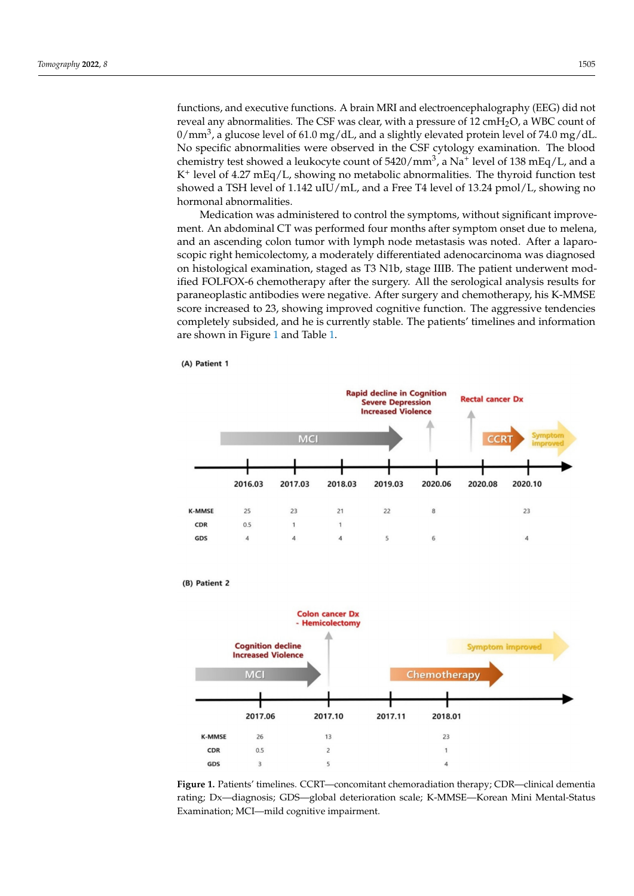functions, and executive functions. A brain MRI and electroencephalography (EEG) did not reveal any abnormalities. The CSF was clear, with a pressure of  $12 \text{ cm}H_2O$ , a WBC count of  $0/\rm{mm}^3$ , a glucose level of 61.0 mg/dL, and a slightly elevated protein level of 74.0 mg/dL. No specific abnormalities were observed in the CSF cytology examination. The blood chemistry test showed a leukocyte count of 5420/mm $^3$ , a Na $^+$  level of 138 mEq/L, and a K<sup>+</sup> level of 4.27 mEq/L, showing no metabolic abnormalities. The thyroid function test showed a TSH level of 1.142 uIU/mL, and a Free T4 level of 13.24 pmol/L, showing no hormonal abnormalities.

Medication was administered to control the symptoms, without significant improvement. An abdominal CT was performed four months after symptom onset due to melena, and an ascending colon tumor with lymph node metastasis was noted. After a laparoscopic right hemicolectomy, a moderately differentiated adenocarcinoma was diagnosed on histological examination, staged as T3 N1b, stage IIIB. The patient underwent modified FOLFOX-6 chemotherapy after the surgery. All the serological analysis results for paraneoplastic antibodies were negative. After surgery and chemotherapy, his K-MMSE score increased to 23, showing improved cognitive function. The aggressive tendencies completely subsided, and he is currently stable. The patients' timelines and information are shown in Figure [1](#page-2-0) and Table [1.](#page-3-0)

<span id="page-2-0"></span>

(B) Patient 2





**Figure 1.** Patients' timelines. CCRT—concomitant chemoradiation therapy; CDR—clinical dementia rating; Dx—diagnosis; GDS—global deterioration scale; K-MMSE—Korean Mini Mental-Status Examination; MCI—mild cognitive impairment.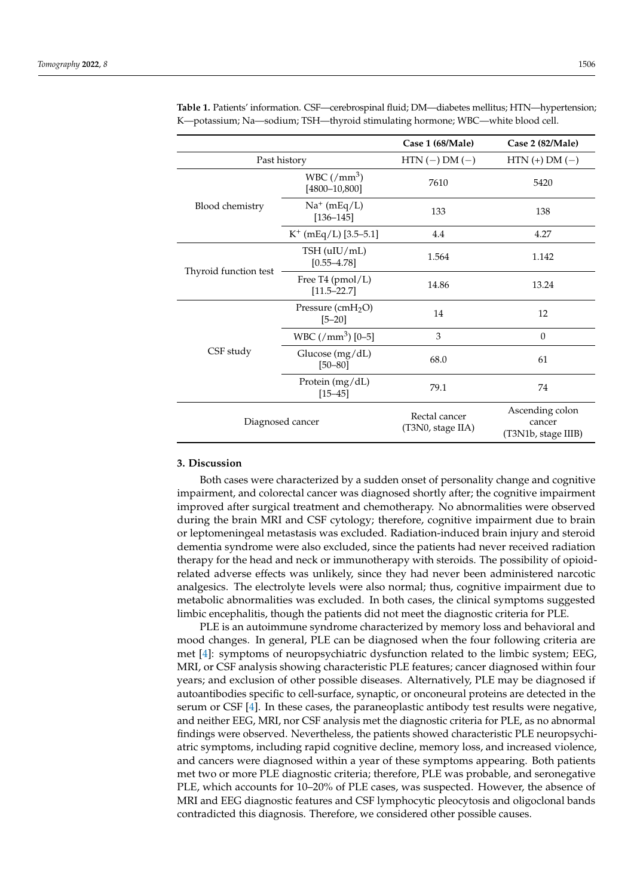|                       |                                                       | Case 1 (68/Male)                   | Case 2 (82/Male)                                 |
|-----------------------|-------------------------------------------------------|------------------------------------|--------------------------------------------------|
| Past history          |                                                       | $HTN (-) DM (-)$                   | $HTN (+) DM (-)$                                 |
| Blood chemistry       | WBC $\left(\text{/mm}^3\right)$<br>$[4800 - 10, 800]$ | 7610                               | 5420                                             |
|                       | $Na^+$ (mEq/L)<br>$[136 - 145]$                       | 133                                | 138                                              |
|                       | $K^+$ (mEq/L) [3.5–5.1]                               | 4.4                                | 4.27                                             |
| Thyroid function test | $TSH$ (uIU/mL)<br>$[0.55 - 4.78]$                     | 1.564                              | 1.142                                            |
|                       | Free T4 $(pmol/L)$<br>$[11.5 - 22.7]$                 | 14.86                              | 13.24                                            |
| CSF study             | Pressure $(cmH2O)$<br>$[5 - 20]$                      | 14                                 | 12                                               |
|                       | WBC $\left(\frac{\text{m}}{3}\right)$ [0-5]           | 3                                  | $\theta$                                         |
|                       | Glucose (mg/dL)<br>$[50 - 80]$                        | 68.0                               | 61                                               |
|                       | Protein $(mg/dL)$<br>$[15 - 45]$                      | 79.1                               | 74                                               |
| Diagnosed cancer      |                                                       | Rectal cancer<br>(T3N0, stage IIA) | Ascending colon<br>cancer<br>(T3N1b, stage IIIB) |

<span id="page-3-0"></span>**Table 1.** Patients' information. CSF—cerebrospinal fluid; DM—diabetes mellitus; HTN—hypertension; K—potassium; Na—sodium; TSH—thyroid stimulating hormone; WBC—white blood cell.

### **3. Discussion**

Both cases were characterized by a sudden onset of personality change and cognitive impairment, and colorectal cancer was diagnosed shortly after; the cognitive impairment improved after surgical treatment and chemotherapy. No abnormalities were observed during the brain MRI and CSF cytology; therefore, cognitive impairment due to brain or leptomeningeal metastasis was excluded. Radiation-induced brain injury and steroid dementia syndrome were also excluded, since the patients had never received radiation therapy for the head and neck or immunotherapy with steroids. The possibility of opioidrelated adverse effects was unlikely, since they had never been administered narcotic analgesics. The electrolyte levels were also normal; thus, cognitive impairment due to metabolic abnormalities was excluded. In both cases, the clinical symptoms suggested limbic encephalitis, though the patients did not meet the diagnostic criteria for PLE.

PLE is an autoimmune syndrome characterized by memory loss and behavioral and mood changes. In general, PLE can be diagnosed when the four following criteria are met [\[4\]](#page-5-3): symptoms of neuropsychiatric dysfunction related to the limbic system; EEG, MRI, or CSF analysis showing characteristic PLE features; cancer diagnosed within four years; and exclusion of other possible diseases. Alternatively, PLE may be diagnosed if autoantibodies specific to cell-surface, synaptic, or onconeural proteins are detected in the serum or CSF [\[4\]](#page-5-3). In these cases, the paraneoplastic antibody test results were negative, and neither EEG, MRI, nor CSF analysis met the diagnostic criteria for PLE, as no abnormal findings were observed. Nevertheless, the patients showed characteristic PLE neuropsychiatric symptoms, including rapid cognitive decline, memory loss, and increased violence, and cancers were diagnosed within a year of these symptoms appearing. Both patients met two or more PLE diagnostic criteria; therefore, PLE was probable, and seronegative PLE, which accounts for 10–20% of PLE cases, was suspected. However, the absence of MRI and EEG diagnostic features and CSF lymphocytic pleocytosis and oligoclonal bands contradicted this diagnosis. Therefore, we considered other possible causes.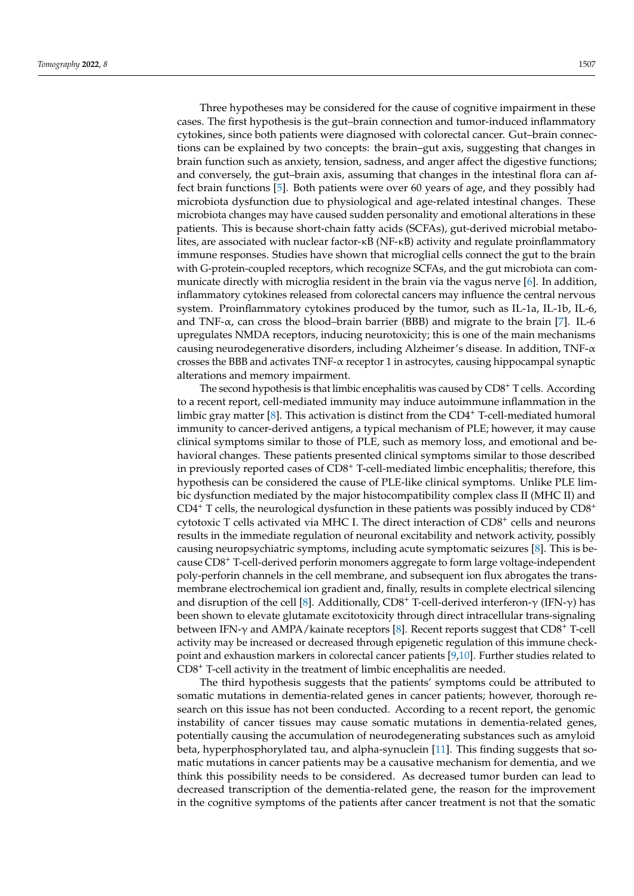Three hypotheses may be considered for the cause of cognitive impairment in these cases. The first hypothesis is the gut–brain connection and tumor-induced inflammatory cytokines, since both patients were diagnosed with colorectal cancer. Gut–brain connections can be explained by two concepts: the brain–gut axis, suggesting that changes in brain function such as anxiety, tension, sadness, and anger affect the digestive functions; and conversely, the gut–brain axis, assuming that changes in the intestinal flora can affect brain functions [\[5\]](#page-5-4). Both patients were over 60 years of age, and they possibly had microbiota dysfunction due to physiological and age-related intestinal changes. These microbiota changes may have caused sudden personality and emotional alterations in these patients. This is because short-chain fatty acids (SCFAs), gut-derived microbial metabolites, are associated with nuclear factor-κB (NF-κB) activity and regulate proinflammatory immune responses. Studies have shown that microglial cells connect the gut to the brain with G-protein-coupled receptors, which recognize SCFAs, and the gut microbiota can communicate directly with microglia resident in the brain via the vagus nerve [\[6\]](#page-5-5). In addition, inflammatory cytokines released from colorectal cancers may influence the central nervous system. Proinflammatory cytokines produced by the tumor, such as IL-1a, IL-1b, IL-6, and TNF- $\alpha$ , can cross the blood–brain barrier (BBB) and migrate to the brain [\[7\]](#page-5-6). IL-6 upregulates NMDA receptors, inducing neurotoxicity; this is one of the main mechanisms causing neurodegenerative disorders, including Alzheimer's disease. In addition, TNF-α crosses the BBB and activates TNF-α receptor 1 in astrocytes, causing hippocampal synaptic alterations and memory impairment.

The second hypothesis is that limbic encephalitis was caused by CD8<sup>+</sup> T cells. According to a recent report, cell-mediated immunity may induce autoimmune inflammation in the limbic gray matter  $[8]$ . This activation is distinct from the CD4<sup>+</sup> T-cell-mediated humoral immunity to cancer-derived antigens, a typical mechanism of PLE; however, it may cause clinical symptoms similar to those of PLE, such as memory loss, and emotional and behavioral changes. These patients presented clinical symptoms similar to those described in previously reported cases of CD8<sup>+</sup> T-cell-mediated limbic encephalitis; therefore, this hypothesis can be considered the cause of PLE-like clinical symptoms. Unlike PLE limbic dysfunction mediated by the major histocompatibility complex class II (MHC II) and  $CD4^+$  T cells, the neurological dysfunction in these patients was possibly induced by  $CD8^+$ cytotoxic T cells activated via MHC I. The direct interaction of CD8<sup>+</sup> cells and neurons results in the immediate regulation of neuronal excitability and network activity, possibly causing neuropsychiatric symptoms, including acute symptomatic seizures [\[8\]](#page-5-7). This is because CD8<sup>+</sup> T-cell-derived perforin monomers aggregate to form large voltage-independent poly-perforin channels in the cell membrane, and subsequent ion flux abrogates the transmembrane electrochemical ion gradient and, finally, results in complete electrical silencing and disruption of the cell [\[8\]](#page-5-7). Additionally, CD8<sup>+</sup> T-cell-derived interferon- $\gamma$  (IFN- $\gamma$ ) has been shown to elevate glutamate excitotoxicity through direct intracellular trans-signaling between IFN-γ and AMPA/kainate receptors [\[8\]](#page-5-7). Recent reports suggest that CD8<sup>+</sup> T-cell activity may be increased or decreased through epigenetic regulation of this immune checkpoint and exhaustion markers in colorectal cancer patients [\[9,](#page-5-8)[10\]](#page-5-9). Further studies related to CD8<sup>+</sup> T-cell activity in the treatment of limbic encephalitis are needed.

The third hypothesis suggests that the patients' symptoms could be attributed to somatic mutations in dementia-related genes in cancer patients; however, thorough research on this issue has not been conducted. According to a recent report, the genomic instability of cancer tissues may cause somatic mutations in dementia-related genes, potentially causing the accumulation of neurodegenerating substances such as amyloid beta, hyperphosphorylated tau, and alpha-synuclein [\[11\]](#page-5-10). This finding suggests that somatic mutations in cancer patients may be a causative mechanism for dementia, and we think this possibility needs to be considered. As decreased tumor burden can lead to decreased transcription of the dementia-related gene, the reason for the improvement in the cognitive symptoms of the patients after cancer treatment is not that the somatic